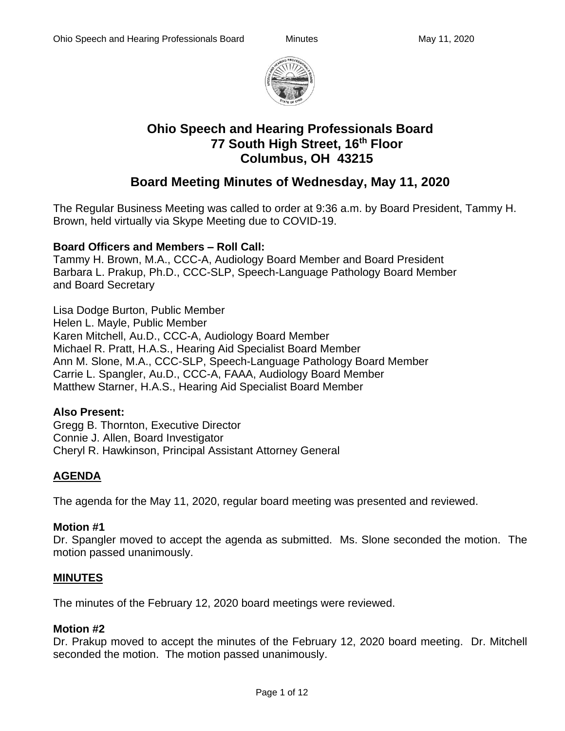

# **Ohio Speech and Hearing Professionals Board 77 South High Street, 16th Floor Columbus, OH 43215**

# **Board Meeting Minutes of Wednesday, May 11, 2020**

The Regular Business Meeting was called to order at 9:36 a.m. by Board President, Tammy H. Brown, held virtually via Skype Meeting due to COVID-19.

## **Board Officers and Members – Roll Call:**

Tammy H. Brown, M.A., CCC-A, Audiology Board Member and Board President Barbara L. Prakup, Ph.D., CCC-SLP, Speech-Language Pathology Board Member and Board Secretary

Lisa Dodge Burton, Public Member Helen L. Mayle, Public Member Karen Mitchell, Au.D., CCC-A, Audiology Board Member Michael R. Pratt, H.A.S., Hearing Aid Specialist Board Member Ann M. Slone, M.A., CCC-SLP, Speech-Language Pathology Board Member Carrie L. Spangler, Au.D., CCC-A, FAAA, Audiology Board Member Matthew Starner, H.A.S., Hearing Aid Specialist Board Member

## **Also Present:**

Gregg B. Thornton, Executive Director Connie J. Allen, Board Investigator Cheryl R. Hawkinson, Principal Assistant Attorney General

# **AGENDA**

The agenda for the May 11, 2020, regular board meeting was presented and reviewed.

## **Motion #1**

Dr. Spangler moved to accept the agenda as submitted. Ms. Slone seconded the motion. The motion passed unanimously.

# **MINUTES**

The minutes of the February 12, 2020 board meetings were reviewed.

## **Motion #2**

Dr. Prakup moved to accept the minutes of the February 12, 2020 board meeting. Dr. Mitchell seconded the motion. The motion passed unanimously.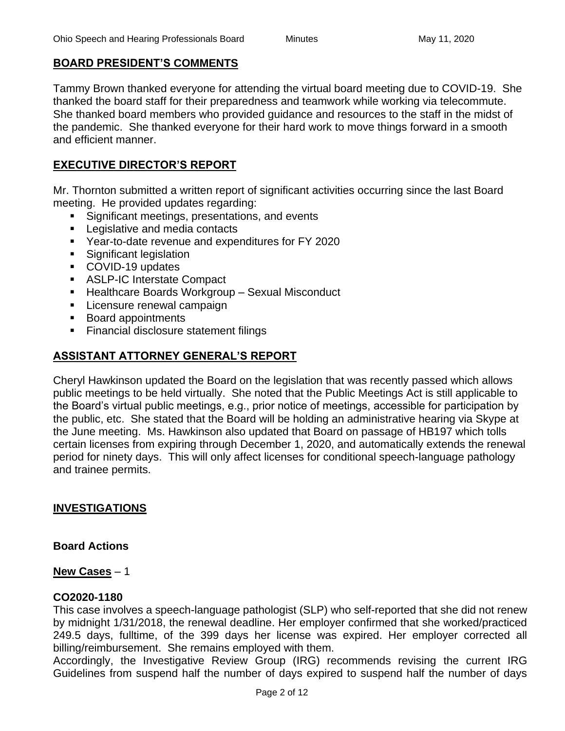#### **BOARD PRESIDENT'S COMMENTS**

Tammy Brown thanked everyone for attending the virtual board meeting due to COVID-19. She thanked the board staff for their preparedness and teamwork while working via telecommute. She thanked board members who provided guidance and resources to the staff in the midst of the pandemic. She thanked everyone for their hard work to move things forward in a smooth and efficient manner.

## **EXECUTIVE DIRECTOR'S REPORT**

Mr. Thornton submitted a written report of significant activities occurring since the last Board meeting. He provided updates regarding:

- Significant meetings, presentations, and events
- Legislative and media contacts
- Year-to-date revenue and expenditures for FY 2020
- Significant legislation
- COVID-19 updates
- ASLP-IC Interstate Compact
- Healthcare Boards Workgroup Sexual Misconduct
- **EXEC** Licensure renewal campaign
- Board appointments
- Financial disclosure statement filings

# **ASSISTANT ATTORNEY GENERAL'S REPORT**

Cheryl Hawkinson updated the Board on the legislation that was recently passed which allows public meetings to be held virtually. She noted that the Public Meetings Act is still applicable to the Board's virtual public meetings, e.g., prior notice of meetings, accessible for participation by the public, etc. She stated that the Board will be holding an administrative hearing via Skype at the June meeting. Ms. Hawkinson also updated that Board on passage of HB197 which tolls certain licenses from expiring through December 1, 2020, and automatically extends the renewal period for ninety days. This will only affect licenses for conditional speech-language pathology and trainee permits.

## **INVESTIGATIONS**

## **Board Actions**

**New Cases** – 1

#### **CO2020-1180**

This case involves a speech-language pathologist (SLP) who self-reported that she did not renew by midnight 1/31/2018, the renewal deadline. Her employer confirmed that she worked/practiced 249.5 days, fulltime, of the 399 days her license was expired. Her employer corrected all billing/reimbursement. She remains employed with them.

Accordingly, the Investigative Review Group (IRG) recommends revising the current IRG Guidelines from suspend half the number of days expired to suspend half the number of days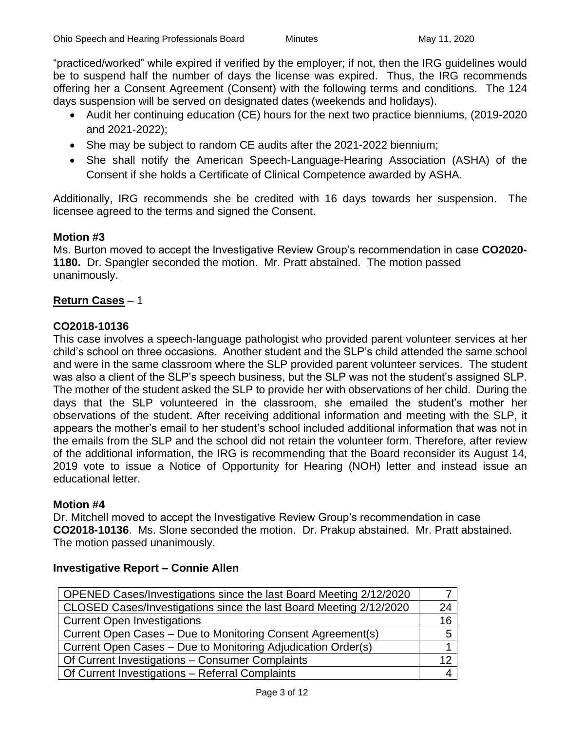"practiced/worked" while expired if verified by the employer; if not, then the IRG guidelines would be to suspend half the number of days the license was expired. Thus, the IRG recommends offering her a Consent Agreement (Consent) with the following terms and conditions. The 124 days suspension will be served on designated dates (weekends and holidays).

- Audit her continuing education (CE) hours for the next two practice bienniums, (2019-2020 and 2021-2022);
- She may be subject to random CE audits after the 2021-2022 biennium;
- She shall notify the American Speech-Language-Hearing Association (ASHA) of the Consent if she holds a Certificate of Clinical Competence awarded by ASHA.

Additionally, IRG recommends she be credited with 16 days towards her suspension. The licensee agreed to the terms and signed the Consent.

## **Motion #3**

Ms. Burton moved to accept the Investigative Review Group's recommendation in case **CO2020- 1180.** Dr. Spangler seconded the motion. Mr. Pratt abstained. The motion passed unanimously.

#### **Return Cases** – 1

#### **CO2018-10136**

This case involves a speech-language pathologist who provided parent volunteer services at her child's school on three occasions. Another student and the SLP's child attended the same school and were in the same classroom where the SLP provided parent volunteer services. The student was also a client of the SLP's speech business, but the SLP was not the student's assigned SLP. The mother of the student asked the SLP to provide her with observations of her child. During the days that the SLP volunteered in the classroom, she emailed the student's mother her observations of the student. After receiving additional information and meeting with the SLP, it appears the mother's email to her student's school included additional information that was not in the emails from the SLP and the school did not retain the volunteer form. Therefore, after review of the additional information, the IRG is recommending that the Board reconsider its August 14, 2019 vote to issue a Notice of Opportunity for Hearing (NOH) letter and instead issue an educational letter.

#### **Motion #4**

Dr. Mitchell moved to accept the Investigative Review Group's recommendation in case **CO2018-10136**. Ms. Slone seconded the motion. Dr. Prakup abstained. Mr. Pratt abstained. The motion passed unanimously.

# OPENED Cases/Investigations since the last Board Meeting 2/12/2020 | 7 CLOSED Cases/Investigations since the last Board Meeting 2/12/2020 24 Current Open Investigations 16 and 16 Current Open Cases – Due to Monitoring Consent Agreement(s)  $\vert$  5 Current Open Cases – Due to Monitoring Adjudication Order(s) 1 Of Current Investigations – Consumer Complaints 12 Of Current Investigations – Referral Complaints 4

#### **Investigative Report – Connie Allen**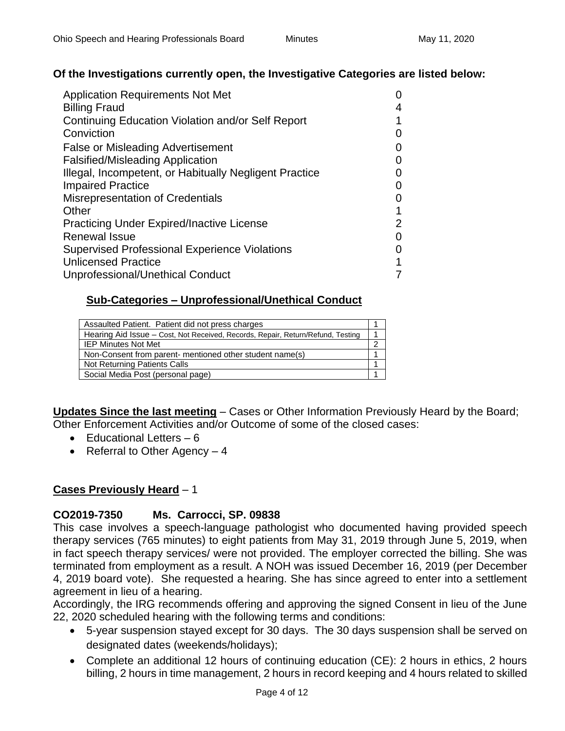## **Of the Investigations currently open, the Investigative Categories are listed below:**

| <b>Application Requirements Not Met</b>                |  |
|--------------------------------------------------------|--|
| <b>Billing Fraud</b>                                   |  |
| Continuing Education Violation and/or Self Report      |  |
| Conviction                                             |  |
| <b>False or Misleading Advertisement</b>               |  |
| <b>Falsified/Misleading Application</b>                |  |
| Illegal, Incompetent, or Habitually Negligent Practice |  |
| <b>Impaired Practice</b>                               |  |
| <b>Misrepresentation of Credentials</b>                |  |
| Other                                                  |  |
| <b>Practicing Under Expired/Inactive License</b>       |  |
| Renewal Issue                                          |  |
| <b>Supervised Professional Experience Violations</b>   |  |
| <b>Unlicensed Practice</b>                             |  |
| Unprofessional/Unethical Conduct                       |  |

## **Sub-Categories – Unprofessional/Unethical Conduct**

| Assaulted Patient. Patient did not press charges                                |  |
|---------------------------------------------------------------------------------|--|
| Hearing Aid Issue - Cost, Not Received, Records, Repair, Return/Refund, Testing |  |
| <b>IEP Minutes Not Met</b>                                                      |  |
| Non-Consent from parent- mentioned other student name(s)                        |  |
| Not Returning Patients Calls                                                    |  |
| Social Media Post (personal page)                                               |  |

**Updates Since the last meeting** – Cases or Other Information Previously Heard by the Board; Other Enforcement Activities and/or Outcome of some of the closed cases:

- Educational Letters 6
- Referral to Other Agency 4

## **Cases Previously Heard** – 1

## **CO2019-7350 Ms. Carrocci, SP. 09838**

This case involves a speech-language pathologist who documented having provided speech therapy services (765 minutes) to eight patients from May 31, 2019 through June 5, 2019, when in fact speech therapy services/ were not provided. The employer corrected the billing. She was terminated from employment as a result. A NOH was issued December 16, 2019 (per December 4, 2019 board vote). She requested a hearing. She has since agreed to enter into a settlement agreement in lieu of a hearing.

Accordingly, the IRG recommends offering and approving the signed Consent in lieu of the June 22, 2020 scheduled hearing with the following terms and conditions:

- 5-year suspension stayed except for 30 days. The 30 days suspension shall be served on designated dates (weekends/holidays);
- Complete an additional 12 hours of continuing education (CE): 2 hours in ethics, 2 hours billing, 2 hours in time management, 2 hours in record keeping and 4 hours related to skilled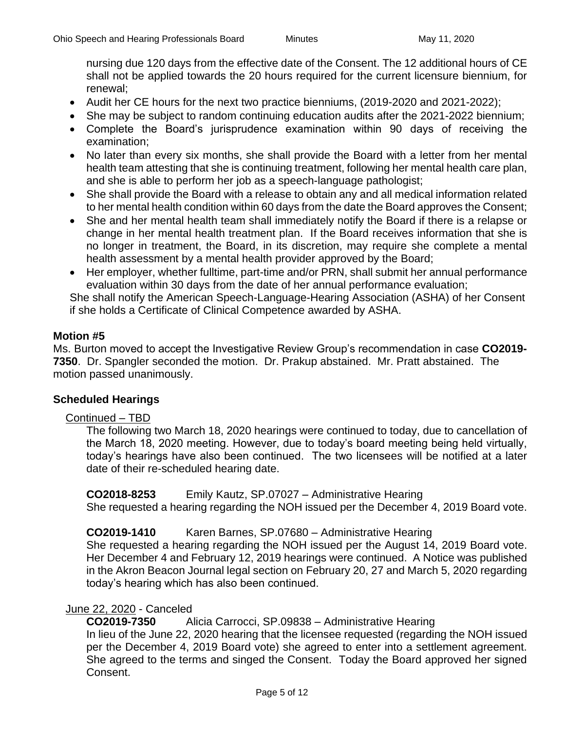nursing due 120 days from the effective date of the Consent. The 12 additional hours of CE shall not be applied towards the 20 hours required for the current licensure biennium, for renewal;

- Audit her CE hours for the next two practice bienniums, (2019-2020 and 2021-2022);
- She may be subject to random continuing education audits after the 2021-2022 biennium;
- Complete the Board's jurisprudence examination within 90 days of receiving the examination;
- No later than every six months, she shall provide the Board with a letter from her mental health team attesting that she is continuing treatment, following her mental health care plan, and she is able to perform her job as a speech-language pathologist;
- She shall provide the Board with a release to obtain any and all medical information related to her mental health condition within 60 days from the date the Board approves the Consent;
- She and her mental health team shall immediately notify the Board if there is a relapse or change in her mental health treatment plan. If the Board receives information that she is no longer in treatment, the Board, in its discretion, may require she complete a mental health assessment by a mental health provider approved by the Board;
- Her employer, whether fulltime, part-time and/or PRN, shall submit her annual performance evaluation within 30 days from the date of her annual performance evaluation;

She shall notify the American Speech-Language-Hearing Association (ASHA) of her Consent if she holds a Certificate of Clinical Competence awarded by ASHA.

## **Motion #5**

Ms. Burton moved to accept the Investigative Review Group's recommendation in case **CO2019- 7350**. Dr. Spangler seconded the motion. Dr. Prakup abstained. Mr. Pratt abstained. The motion passed unanimously.

## **Scheduled Hearings**

## Continued – TBD

The following two March 18, 2020 hearings were continued to today, due to cancellation of the March 18, 2020 meeting. However, due to today's board meeting being held virtually, today's hearings have also been continued. The two licensees will be notified at a later date of their re-scheduled hearing date.

**CO2018-8253** Emily Kautz, SP.07027 – Administrative Hearing

She requested a hearing regarding the NOH issued per the December 4, 2019 Board vote.

**CO2019-1410** Karen Barnes, SP.07680 – Administrative Hearing

She requested a hearing regarding the NOH issued per the August 14, 2019 Board vote. Her December 4 and February 12, 2019 hearings were continued. A Notice was published in the Akron Beacon Journal legal section on February 20, 27 and March 5, 2020 regarding today's hearing which has also been continued.

## June 22, 2020 - Canceled

**CO2019-7350** Alicia Carrocci, SP.09838 – Administrative Hearing In lieu of the June 22, 2020 hearing that the licensee requested (regarding the NOH issued per the December 4, 2019 Board vote) she agreed to enter into a settlement agreement. She agreed to the terms and singed the Consent. Today the Board approved her signed Consent.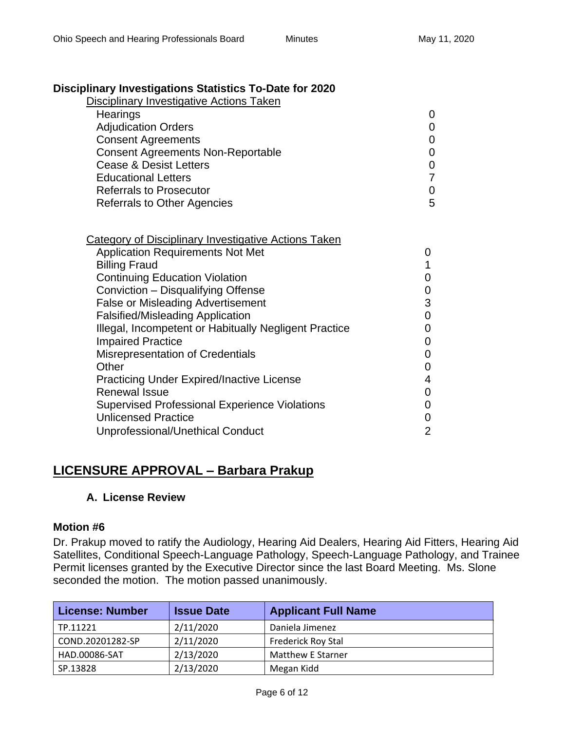# **Disciplinary Investigations Statistics To-Date for 2020**

| $m$ a, y $m$ vouganono otanonoo To Dato Tor Evev |   |
|--------------------------------------------------|---|
| Disciplinary Investigative Actions Taken         |   |
| Hearings                                         | 0 |
| <b>Adjudication Orders</b>                       | 0 |
| <b>Consent Agreements</b>                        | 0 |
| <b>Consent Agreements Non-Reportable</b>         | 0 |
| <b>Cease &amp; Desist Letters</b>                | 0 |
| <b>Educational Letters</b>                       |   |
| <b>Referrals to Prosecutor</b>                   | 0 |
| <b>Referrals to Other Agencies</b>               | 5 |
|                                                  |   |

| <b>Category of Disciplinary Investigative Actions Taken</b> |   |
|-------------------------------------------------------------|---|
| <b>Application Requirements Not Met</b>                     | 0 |
| <b>Billing Fraud</b>                                        |   |
| <b>Continuing Education Violation</b>                       | 0 |
| Conviction - Disqualifying Offense                          | 0 |
| <b>False or Misleading Advertisement</b>                    | 3 |
| <b>Falsified/Misleading Application</b>                     | 0 |
| Illegal, Incompetent or Habitually Negligent Practice       | 0 |
| <b>Impaired Practice</b>                                    |   |
| <b>Misrepresentation of Credentials</b>                     | 0 |
| Other                                                       | 0 |
| <b>Practicing Under Expired/Inactive License</b>            | 4 |
| <b>Renewal Issue</b>                                        | 0 |
| <b>Supervised Professional Experience Violations</b>        | 0 |
| <b>Unlicensed Practice</b>                                  | 0 |
| Unprofessional/Unethical Conduct                            | 2 |
|                                                             |   |

# **LICENSURE APPROVAL – Barbara Prakup**

# **A. License Review**

## **Motion #6**

Dr. Prakup moved to ratify the Audiology, Hearing Aid Dealers, Hearing Aid Fitters, Hearing Aid Satellites, Conditional Speech-Language Pathology, Speech-Language Pathology, and Trainee Permit licenses granted by the Executive Director since the last Board Meeting. Ms. Slone seconded the motion. The motion passed unanimously.

| <b>License: Number</b> | <b>Issue Date</b> | <b>Applicant Full Name</b> |
|------------------------|-------------------|----------------------------|
| TP.11221               | 2/11/2020         | Daniela Jimenez            |
| COND.20201282-SP       | 2/11/2020         | <b>Frederick Roy Stal</b>  |
| HAD.00086-SAT          | 2/13/2020         | <b>Matthew E Starner</b>   |
| SP.13828               | 2/13/2020         | Megan Kidd                 |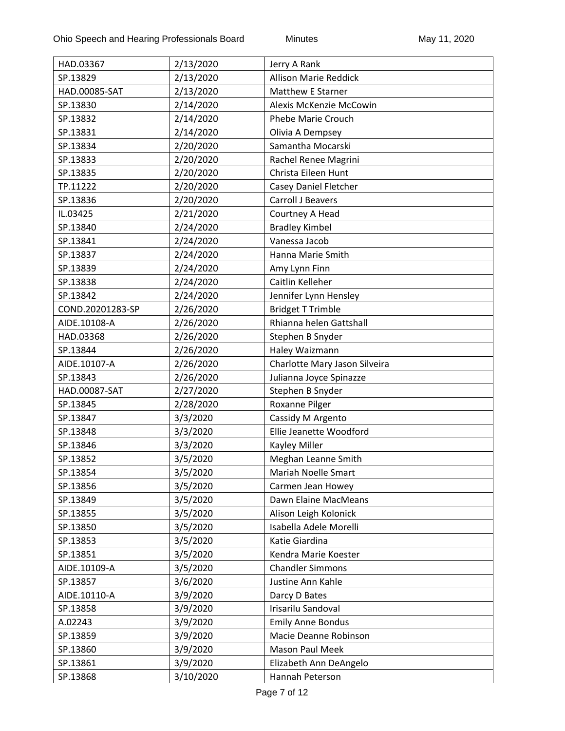| HAD.03367        | 2/13/2020 | Jerry A Rank                       |
|------------------|-----------|------------------------------------|
| SP.13829         | 2/13/2020 | <b>Allison Marie Reddick</b>       |
| HAD.00085-SAT    | 2/13/2020 | <b>Matthew E Starner</b>           |
| SP.13830         | 2/14/2020 | Alexis McKenzie McCowin            |
| SP.13832         | 2/14/2020 | <b>Phebe Marie Crouch</b>          |
| SP.13831         | 2/14/2020 | Olivia A Dempsey                   |
| SP.13834         | 2/20/2020 | Samantha Mocarski                  |
| SP.13833         | 2/20/2020 | Rachel Renee Magrini               |
| SP.13835         | 2/20/2020 | Christa Eileen Hunt                |
| TP.11222         | 2/20/2020 | Casey Daniel Fletcher              |
| SP.13836         | 2/20/2020 | Carroll J Beavers                  |
| IL.03425         | 2/21/2020 | Courtney A Head                    |
| SP.13840         | 2/24/2020 | <b>Bradley Kimbel</b>              |
| SP.13841         | 2/24/2020 | Vanessa Jacob                      |
| SP.13837         | 2/24/2020 | Hanna Marie Smith                  |
| SP.13839         | 2/24/2020 | Amy Lynn Finn                      |
| SP.13838         | 2/24/2020 | Caitlin Kelleher                   |
| SP.13842         | 2/24/2020 | Jennifer Lynn Hensley              |
| COND.20201283-SP | 2/26/2020 | <b>Bridget T Trimble</b>           |
| AIDE.10108-A     | 2/26/2020 | Rhianna helen Gattshall            |
| HAD.03368        | 2/26/2020 | Stephen B Snyder                   |
| SP.13844         | 2/26/2020 | Haley Waizmann                     |
| AIDE.10107-A     | 2/26/2020 | Charlotte Mary Jason Silveira      |
| SP.13843         | 2/26/2020 | Julianna Joyce Spinazze            |
| HAD.00087-SAT    | 2/27/2020 |                                    |
| SP.13845         | 2/28/2020 | Stephen B Snyder<br>Roxanne Pilger |
| SP.13847         | 3/3/2020  | Cassidy M Argento                  |
| SP.13848         | 3/3/2020  | Ellie Jeanette Woodford            |
| SP.13846         | 3/3/2020  | Kayley Miller                      |
| SP.13852         | 3/5/2020  | Meghan Leanne Smith                |
| SP.13854         | 3/5/2020  | Mariah Noelle Smart                |
| SP.13856         | 3/5/2020  | Carmen Jean Howey                  |
| SP.13849         | 3/5/2020  | Dawn Elaine MacMeans               |
| SP.13855         | 3/5/2020  | Alison Leigh Kolonick              |
| SP.13850         | 3/5/2020  | Isabella Adele Morelli             |
| SP.13853         | 3/5/2020  | Katie Giardina                     |
| SP.13851         | 3/5/2020  | Kendra Marie Koester               |
| AIDE.10109-A     | 3/5/2020  | <b>Chandler Simmons</b>            |
| SP.13857         | 3/6/2020  | Justine Ann Kahle                  |
| AIDE.10110-A     | 3/9/2020  | Darcy D Bates                      |
| SP.13858         | 3/9/2020  | Irisarilu Sandoval                 |
| A.02243          | 3/9/2020  | <b>Emily Anne Bondus</b>           |
| SP.13859         | 3/9/2020  | Macie Deanne Robinson              |
| SP.13860         | 3/9/2020  | Mason Paul Meek                    |
|                  |           |                                    |
| SP.13861         | 3/9/2020  | Elizabeth Ann DeAngelo             |
| SP.13868         | 3/10/2020 | Hannah Peterson                    |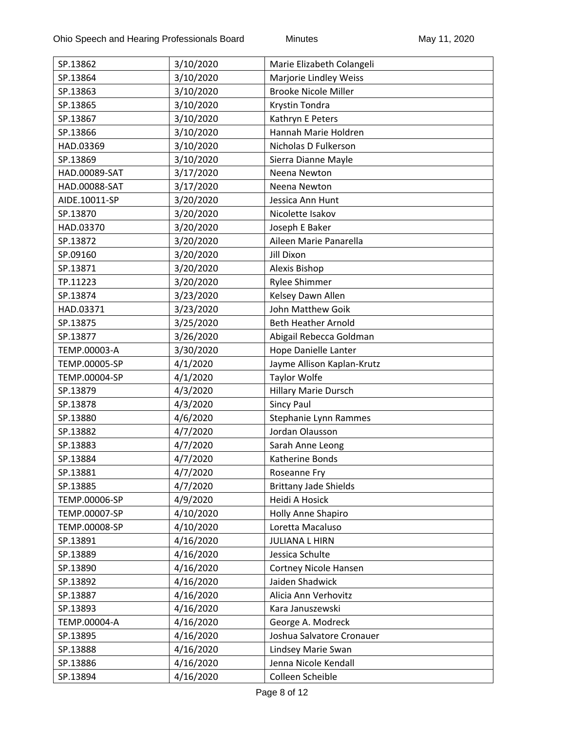| SP.13862      |                        |                                                     |
|---------------|------------------------|-----------------------------------------------------|
| SP.13864      | 3/10/2020<br>3/10/2020 | Marie Elizabeth Colangeli<br>Marjorie Lindley Weiss |
| SP.13863      | 3/10/2020              | <b>Brooke Nicole Miller</b>                         |
| SP.13865      | 3/10/2020              | Krystin Tondra                                      |
| SP.13867      | 3/10/2020              | Kathryn E Peters                                    |
| SP.13866      | 3/10/2020              | Hannah Marie Holdren                                |
| HAD.03369     | 3/10/2020              | Nicholas D Fulkerson                                |
| SP.13869      | 3/10/2020              | Sierra Dianne Mayle                                 |
| HAD.00089-SAT | 3/17/2020              | Neena Newton                                        |
| HAD.00088-SAT |                        | Neena Newton                                        |
| AIDE.10011-SP | 3/17/2020              | Jessica Ann Hunt                                    |
|               | 3/20/2020              |                                                     |
| SP.13870      | 3/20/2020              | Nicolette Isakov                                    |
| HAD.03370     | 3/20/2020              | Joseph E Baker                                      |
| SP.13872      | 3/20/2020              | Aileen Marie Panarella                              |
| SP.09160      | 3/20/2020              | <b>Jill Dixon</b>                                   |
| SP.13871      | 3/20/2020              | Alexis Bishop                                       |
| TP.11223      | 3/20/2020              | <b>Rylee Shimmer</b>                                |
| SP.13874      | 3/23/2020              | Kelsey Dawn Allen                                   |
| HAD.03371     | 3/23/2020              | John Matthew Goik                                   |
| SP.13875      | 3/25/2020              | <b>Beth Heather Arnold</b>                          |
| SP.13877      | 3/26/2020              | Abigail Rebecca Goldman                             |
| TEMP.00003-A  | 3/30/2020              | Hope Danielle Lanter                                |
| TEMP.00005-SP | 4/1/2020               | Jayme Allison Kaplan-Krutz                          |
| TEMP.00004-SP | 4/1/2020               | <b>Taylor Wolfe</b>                                 |
| SP.13879      | 4/3/2020               | Hillary Marie Dursch                                |
| SP.13878      | 4/3/2020               | <b>Sincy Paul</b>                                   |
| SP.13880      | 4/6/2020               | Stephanie Lynn Rammes                               |
| SP.13882      | 4/7/2020               | Jordan Olausson                                     |
| SP.13883      | 4/7/2020               | Sarah Anne Leong                                    |
| SP.13884      | 4/7/2020               | Katherine Bonds                                     |
| SP.13881      | 4/7/2020               | Roseanne Fry                                        |
| SP.13885      | 4/7/2020               | <b>Brittany Jade Shields</b>                        |
| TEMP.00006-SP | 4/9/2020               | Heidi A Hosick                                      |
| TEMP.00007-SP | 4/10/2020              | Holly Anne Shapiro                                  |
| TEMP.00008-SP | 4/10/2020              | Loretta Macaluso                                    |
| SP.13891      | 4/16/2020              | <b>JULIANA L HIRN</b>                               |
| SP.13889      | 4/16/2020              | Jessica Schulte                                     |
| SP.13890      | 4/16/2020              | Cortney Nicole Hansen                               |
| SP.13892      | 4/16/2020              | Jaiden Shadwick                                     |
| SP.13887      | 4/16/2020              | Alicia Ann Verhovitz                                |
| SP.13893      | 4/16/2020              | Kara Januszewski                                    |
| TEMP.00004-A  | 4/16/2020              | George A. Modreck                                   |
| SP.13895      | 4/16/2020              | Joshua Salvatore Cronauer                           |
| SP.13888      | 4/16/2020              | Lindsey Marie Swan                                  |
| SP.13886      | 4/16/2020              | Jenna Nicole Kendall                                |
| SP.13894      | 4/16/2020              | Colleen Scheible                                    |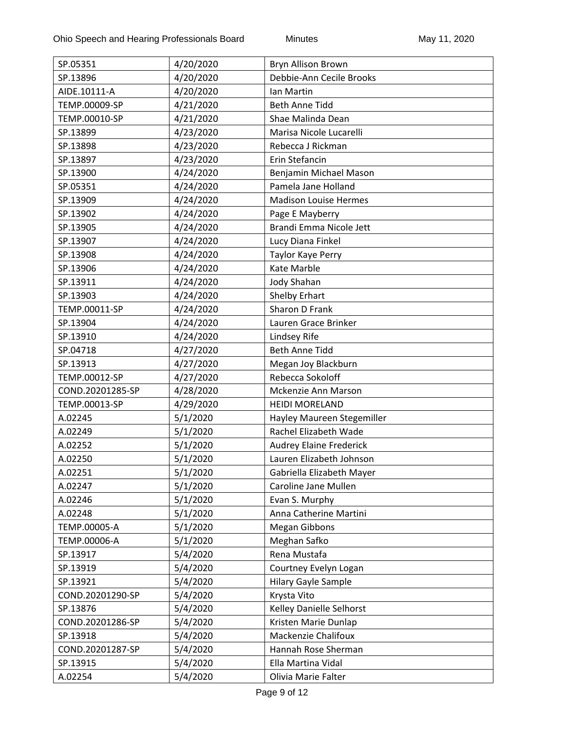| SP.05351                          | 4/20/2020             | Bryn Allison Brown                           |
|-----------------------------------|-----------------------|----------------------------------------------|
| SP.13896                          | 4/20/2020             | Debbie-Ann Cecile Brooks                     |
| AIDE.10111-A                      | 4/20/2020             | Ian Martin                                   |
| TEMP.00009-SP                     | 4/21/2020             | <b>Beth Anne Tidd</b>                        |
| TEMP.00010-SP                     | 4/21/2020             | Shae Malinda Dean                            |
| SP.13899                          | 4/23/2020             | Marisa Nicole Lucarelli                      |
| SP.13898                          | 4/23/2020             | Rebecca J Rickman                            |
| SP.13897                          | 4/23/2020             | Erin Stefancin                               |
| SP.13900                          | 4/24/2020             | Benjamin Michael Mason                       |
| SP.05351                          | 4/24/2020             | Pamela Jane Holland                          |
| SP.13909                          | 4/24/2020             | <b>Madison Louise Hermes</b>                 |
| SP.13902                          | 4/24/2020             | Page E Mayberry                              |
| SP.13905                          | 4/24/2020             | Brandi Emma Nicole Jett                      |
| SP.13907                          | 4/24/2020             | Lucy Diana Finkel                            |
| SP.13908                          | 4/24/2020             | Taylor Kaye Perry                            |
| SP.13906                          | 4/24/2020             | <b>Kate Marble</b>                           |
| SP.13911                          | 4/24/2020             | Jody Shahan                                  |
| SP.13903                          | 4/24/2020             | Shelby Erhart                                |
| TEMP.00011-SP                     | 4/24/2020             | Sharon D Frank                               |
| SP.13904                          | 4/24/2020             | Lauren Grace Brinker                         |
| SP.13910                          | 4/24/2020             | Lindsey Rife                                 |
| SP.04718                          |                       | <b>Beth Anne Tidd</b>                        |
|                                   | 4/27/2020             |                                              |
| SP.13913                          | 4/27/2020             | Megan Joy Blackburn<br>Rebecca Sokoloff      |
| TEMP.00012-SP                     | 4/27/2020             |                                              |
| COND.20201285-SP<br>TEMP.00013-SP | 4/28/2020             | Mckenzie Ann Marson<br><b>HEIDI MORELAND</b> |
| A.02245                           | 4/29/2020<br>5/1/2020 | Hayley Maureen Stegemiller                   |
| A.02249                           | 5/1/2020              | Rachel Elizabeth Wade                        |
| A.02252                           | 5/1/2020              | <b>Audrey Elaine Frederick</b>               |
| A.02250                           | 5/1/2020              | Lauren Elizabeth Johnson                     |
| A.02251                           | 5/1/2020              | Gabriella Elizabeth Mayer                    |
| A.02247                           | 5/1/2020              | Caroline Jane Mullen                         |
|                                   |                       |                                              |
| A.02246                           | 5/1/2020              | Evan S. Murphy<br>Anna Catherine Martini     |
| A.02248                           | 5/1/2020              |                                              |
| TEMP.00005-A                      | 5/1/2020              | <b>Megan Gibbons</b>                         |
| TEMP.00006-A                      | 5/1/2020              | Meghan Safko                                 |
| SP.13917                          | 5/4/2020              | Rena Mustafa                                 |
| SP.13919                          | 5/4/2020              | Courtney Evelyn Logan                        |
| SP.13921                          | 5/4/2020              | <b>Hilary Gayle Sample</b>                   |
| COND.20201290-SP                  | 5/4/2020              | Krysta Vito                                  |
| SP.13876                          | 5/4/2020              | Kelley Danielle Selhorst                     |
| COND.20201286-SP                  | 5/4/2020              | Kristen Marie Dunlap                         |
| SP.13918                          | 5/4/2020              | <b>Mackenzie Chalifoux</b>                   |
| COND.20201287-SP                  | 5/4/2020              | Hannah Rose Sherman                          |
| SP.13915                          | 5/4/2020              | Ella Martina Vidal                           |
| A.02254                           | 5/4/2020              | Olivia Marie Falter                          |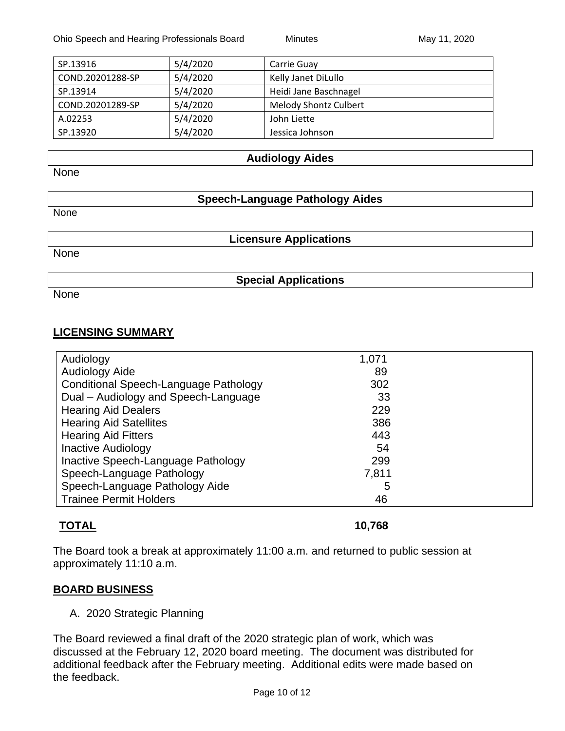| SP.13916         | 5/4/2020 | Carrie Guay                  |
|------------------|----------|------------------------------|
| COND.20201288-SP | 5/4/2020 | Kelly Janet DiLullo          |
| SP.13914         | 5/4/2020 | Heidi Jane Baschnagel        |
| COND.20201289-SP | 5/4/2020 | <b>Melody Shontz Culbert</b> |
| A.02253          | 5/4/2020 | John Liette                  |
| SP.13920         | 5/4/2020 | Jessica Johnson              |

#### **Audiology Aides**

None

#### **Speech-Language Pathology Aides**

None

None

**Licensure Applications**

**Special Applications**

None

## **LICENSING SUMMARY**

| Audiology                             | 1,071 |
|---------------------------------------|-------|
| <b>Audiology Aide</b>                 | 89    |
| Conditional Speech-Language Pathology | 302   |
| Dual - Audiology and Speech-Language  | 33    |
| <b>Hearing Aid Dealers</b>            | 229   |
| <b>Hearing Aid Satellites</b>         | 386   |
| <b>Hearing Aid Fitters</b>            | 443   |
| <b>Inactive Audiology</b>             | 54    |
| Inactive Speech-Language Pathology    | 299   |
| Speech-Language Pathology             | 7,811 |
| Speech-Language Pathology Aide        | 5     |
| <b>Trainee Permit Holders</b>         | 46    |

# **TOTAL 10,768**

The Board took a break at approximately 11:00 a.m. and returned to public session at approximately 11:10 a.m.

## **BOARD BUSINESS**

A. 2020 Strategic Planning

The Board reviewed a final draft of the 2020 strategic plan of work, which was discussed at the February 12, 2020 board meeting. The document was distributed for additional feedback after the February meeting. Additional edits were made based on the feedback.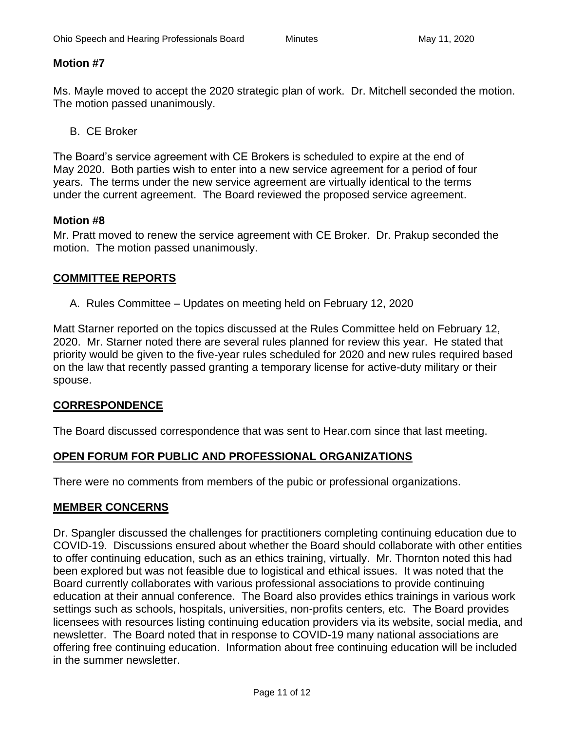## **Motion #7**

Ms. Mayle moved to accept the 2020 strategic plan of work. Dr. Mitchell seconded the motion. The motion passed unanimously.

B. CE Broker

The Board's service agreement with CE Brokers is scheduled to expire at the end of May 2020. Both parties wish to enter into a new service agreement for a period of four years. The terms under the new service agreement are virtually identical to the terms under the current agreement. The Board reviewed the proposed service agreement.

## **Motion #8**

Mr. Pratt moved to renew the service agreement with CE Broker. Dr. Prakup seconded the motion. The motion passed unanimously.

# **COMMITTEE REPORTS**

A. Rules Committee – Updates on meeting held on February 12, 2020

Matt Starner reported on the topics discussed at the Rules Committee held on February 12, 2020. Mr. Starner noted there are several rules planned for review this year. He stated that priority would be given to the five-year rules scheduled for 2020 and new rules required based on the law that recently passed granting a temporary license for active-duty military or their spouse.

# **CORRESPONDENCE**

The Board discussed correspondence that was sent to Hear.com since that last meeting.

# **OPEN FORUM FOR PUBLIC AND PROFESSIONAL ORGANIZATIONS**

There were no comments from members of the pubic or professional organizations.

## **MEMBER CONCERNS**

Dr. Spangler discussed the challenges for practitioners completing continuing education due to COVID-19. Discussions ensured about whether the Board should collaborate with other entities to offer continuing education, such as an ethics training, virtually. Mr. Thornton noted this had been explored but was not feasible due to logistical and ethical issues. It was noted that the Board currently collaborates with various professional associations to provide continuing education at their annual conference. The Board also provides ethics trainings in various work settings such as schools, hospitals, universities, non-profits centers, etc. The Board provides licensees with resources listing continuing education providers via its website, social media, and newsletter. The Board noted that in response to COVID-19 many national associations are offering free continuing education. Information about free continuing education will be included in the summer newsletter.